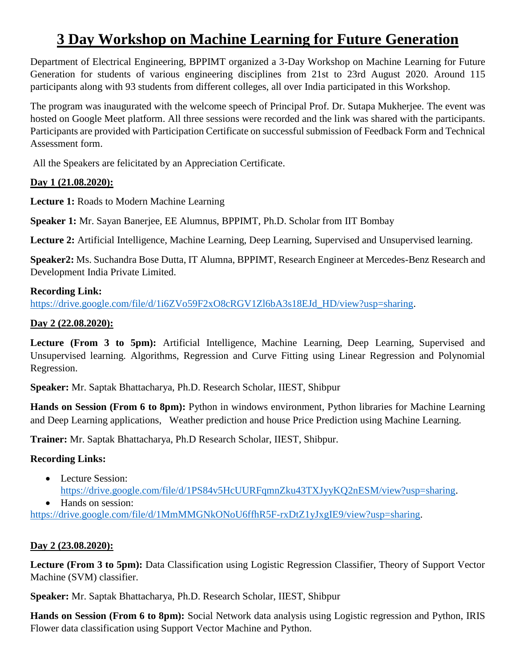# **3 Day Workshop on Machine Learning for Future Generation**

Department of Electrical Engineering, BPPIMT organized a 3-Day Workshop on Machine Learning for Future Generation for students of various engineering disciplines from 21st to 23rd August 2020. Around 115 participants along with 93 students from different colleges, all over India participated in this Workshop.

The program was inaugurated with the welcome speech of Principal Prof. Dr. Sutapa Mukherjee. The event was hosted on Google Meet platform. All three sessions were recorded and the link was shared with the participants. Participants are provided with Participation Certificate on successful submission of Feedback Form and Technical Assessment form.

All the Speakers are felicitated by an Appreciation Certificate.

### **Day 1 (21.08.2020):**

**Lecture 1:** Roads to Modern Machine Learning

**Speaker 1:** Mr. Sayan Banerjee, EE Alumnus, BPPIMT, Ph.D. Scholar from IIT Bombay

**Lecture 2:** Artificial Intelligence, Machine Learning, Deep Learning, Supervised and Unsupervised learning.

**Speaker2:** Ms. Suchandra Bose Dutta, IT Alumna, BPPIMT, Research Engineer at Mercedes-Benz Research and Development India Private Limited.

### **Recording Link:**

[https://drive.google.com/file/d/1i6ZVo59F2xO8cRGV1Zl6bA3s18EJd\\_HD/view?usp=sharing.](https://drive.google.com/file/d/1i6ZVo59F2xO8cRGV1Zl6bA3s18EJd_HD/view?usp=sharing)

### **Day 2 (22.08.2020):**

**Lecture (From 3 to 5pm):** Artificial Intelligence, Machine Learning, Deep Learning, Supervised and Unsupervised learning. Algorithms, Regression and Curve Fitting using Linear Regression and Polynomial Regression.

**Speaker:** Mr. Saptak Bhattacharya, Ph.D. Research Scholar, IIEST, Shibpur

**Hands on Session (From 6 to 8pm):** Python in windows environment, Python libraries for Machine Learning and Deep Learning applications, Weather prediction and house Price Prediction using Machine Learning.

**Trainer:** Mr. Saptak Bhattacharya, Ph.D Research Scholar, IIEST, Shibpur.

## **Recording Links:**

- Lecture Session: [https://drive.google.com/file/d/1PS84v5HcUURFqmnZku43TXJyyKQ2nESM/view?usp=sharing.](https://drive.google.com/file/d/1PS84v5HcUURFqmnZku43TXJyyKQ2nESM/view?usp=sharing) • Hands on session:
- [https://drive.google.com/file/d/1MmMMGNkONoU6ffhR5F-rxDtZ1yJxgIE9/view?usp=sharing.](https://drive.google.com/file/d/1MmMMGNkONoU6ffhR5F-rxDtZ1yJxgIE9/view?usp=sharing)

#### **Day 2 (23.08.2020):**

**Lecture (From 3 to 5pm):** Data Classification using Logistic Regression Classifier, Theory of Support Vector Machine (SVM) classifier.

**Speaker:** Mr. Saptak Bhattacharya, Ph.D. Research Scholar, IIEST, Shibpur

**Hands on Session (From 6 to 8pm):** Social Network data analysis using Logistic regression and Python, IRIS Flower data classification using Support Vector Machine and Python.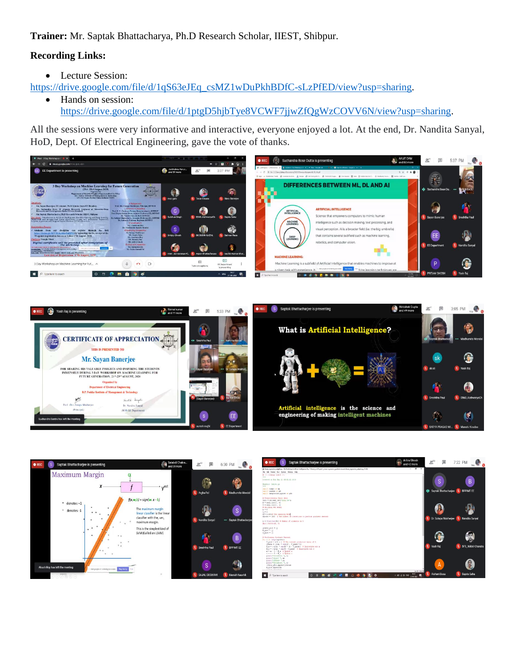**Trainer:** Mr. Saptak Bhattacharya, Ph.D Research Scholar, IIEST, Shibpur.

### **Recording Links:**

• Lecture Session:

[https://drive.google.com/file/d/1qS63eJEq\\_csMZ1wDuPkhBDfC-sLzPfED/view?usp=sharing.](https://drive.google.com/file/d/1qS63eJEq_csMZ1wDuPkhBDfC-sLzPfED/view?usp=sharing)

• Hands on session: [https://drive.google.com/file/d/1ptgD5hjbTye8VCWF7jjwZfQgWzCOVV6N/view?usp=sharing.](https://drive.google.com/file/d/1ptgD5hjbTye8VCWF7jjwZfQgWzCOVV6N/view?usp=sharing)

All the sessions were very informative and interactive, everyone enjoyed a lot. At the end, Dr. Nandita Sanyal, HoD, Dept. Of Electrical Engineering, gave the vote of thanks.







| s.<br>$\bullet$ REC<br>Saptak Bhattacharjee is presenting                                                                                                          | Aritra Ghosh<br>and 42 more                     | $2^{53}$<br>▣             | 7:22 PM<br>Vou                 |
|--------------------------------------------------------------------------------------------------------------------------------------------------------------------|-------------------------------------------------|---------------------------|--------------------------------|
| B linear represion subplot by - DIVionshop(\Artificial intelligence\Doy Ti-lanck_orl\Project   Linear represion_goulard descent linear_represion_subplot by (2.82) | $ \sigma$ $\times$                              |                           |                                |
| File Edit Formet Run Outloos Window Help                                                                                                                           |                                                 |                           |                                |
| # -t- coline: std-t -t-<br>$\cdots$                                                                                                                                |                                                 |                           |                                |
| Created on Hon Har 11 15:32:21 2019                                                                                                                                |                                                 | 'S                        | B                              |
| Sauthor: Lenovo po<br>$***$                                                                                                                                        |                                                 |                           |                                |
| import numpy as mp                                                                                                                                                 |                                                 |                           | 湿                              |
| inport pandas as pd<br>import matplotlib.pyplot as plt                                                                                                             |                                                 | ŵ<br>Saptak Bhattacharjee | <b>BPPINT EE</b>               |
|                                                                                                                                                                    |                                                 |                           |                                |
| # Preprocessing Trout data                                                                                                                                         |                                                 |                           |                                |
| data = pd.read cav ('data, cav')                                                                                                                                   |                                                 |                           |                                |
| $X = 0.681, 1100[1, 0]$<br>$T = data, 11$ ocf;, 11                                                                                                                 |                                                 |                           |                                |
| # Building the model                                                                                                                                               |                                                 |                           |                                |
| $n = 0$                                                                                                                                                            |                                                 |                           |                                |
| $c = 0$<br>1]- 0.00019 The Learning Rate                                                                                                                           |                                                 |                           |                                |
| epochs - 1000 4 The number of iterations to berform gradient destent                                                                                               |                                                 |                           |                                |
|                                                                                                                                                                    |                                                 | Dr. Sutapa Mukherjee      | $\mathbf{x}$<br>Nandita Sanyal |
| a = flost(len(K)) } Namber of elements in X                                                                                                                        |                                                 |                           |                                |
| \$pit.scatteriX, Ti                                                                                                                                                |                                                 |                           |                                |
| jthets plot = []                                                                                                                                                   |                                                 |                           |                                |
| $n$ plot = $\Box$                                                                                                                                                  |                                                 |                           |                                |
| $c$ plot = $\Box$                                                                                                                                                  |                                                 |                           |                                |
| # Sexforming Gradient Descent                                                                                                                                      |                                                 |                           |                                |
| for 1 in range (epochs) ;                                                                                                                                          |                                                 |                           |                                |
| Y pred = m*X + c   The current predicted value of Y                                                                                                                |                                                 |                           |                                |
| Stheta = $(2/n)$ ' $min(17 - 7 pred)^{1+2})$<br>$D = r - 1/(n)$ * sum (K * (Y - Y pred)) # Derivative with m                                                       |                                                 | V.<br>Yash Rai            | 湿<br>5F3_Nikhil Chandra        |
| $D$ $c = (-1/n)$ ' $x \equiv (T - T) \text{red}$   Decivative art of                                                                                               |                                                 |                           |                                |
| m = m - L * D m + Opdate m                                                                                                                                         |                                                 |                           |                                |
| $c = c - L + B c$ & Opdate $c$                                                                                                                                     |                                                 |                           |                                |
| print ("Iteration: ", 1)<br>printifelope= ", m)                                                                                                                    |                                                 |                           |                                |
| printi"offset= ".c)                                                                                                                                                |                                                 |                           |                                |
| print ("Ineration: ", 1)                                                                                                                                           |                                                 |                           |                                |
| ithets plot.eppendithetal                                                                                                                                          |                                                 | $\overline{A}$            |                                |
| n plot, eppendico<br>a at an annual (a)                                                                                                                            |                                                 |                           |                                |
|                                                                                                                                                                    | $1 = 18$ Cot 29                                 |                           |                                |
| æ<br>м<br>$0$ $\bullet$<br>P Troe here to search<br>٠<br>۰<br>$\circ$<br>H                                                                                         | B22<br>見<br>$\wedge$ 10 at 48 BM $_{22,00,200}$ | Aishani Basu              | 岌<br>Sujata Saha               |